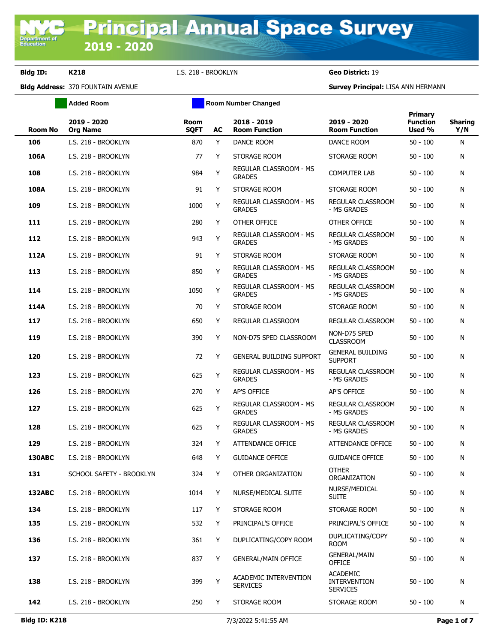**Department of**<br>Education

**Bldg ID: K218** I.S. 218 - BROOKLYN **Geo District:** 19

|                | <b>Added Room</b>              |                            |    | <b>Room Number Changed</b>               |                                                           |                                      |                       |
|----------------|--------------------------------|----------------------------|----|------------------------------------------|-----------------------------------------------------------|--------------------------------------|-----------------------|
| <b>Room No</b> | 2019 - 2020<br><b>Org Name</b> | <b>Room</b><br><b>SQFT</b> | AC | 2018 - 2019<br><b>Room Function</b>      | 2019 - 2020<br><b>Room Function</b>                       | Primary<br><b>Function</b><br>Used % | <b>Sharing</b><br>Y/N |
| 106            | I.S. 218 - BROOKLYN            | 870                        | Y  | <b>DANCE ROOM</b>                        | DANCE ROOM                                                | $50 - 100$                           | N                     |
| 106A           | I.S. 218 - BROOKLYN            | 77                         | Y  | STORAGE ROOM                             | STORAGE ROOM                                              | $50 - 100$                           | N                     |
| 108            | I.S. 218 - BROOKLYN            | 984                        | Y  | REGULAR CLASSROOM - MS<br><b>GRADES</b>  | <b>COMPUTER LAB</b>                                       | $50 - 100$                           | N                     |
| 108A           | I.S. 218 - BROOKLYN            | 91                         | Y  | STORAGE ROOM                             | STORAGE ROOM                                              | $50 - 100$                           | N                     |
| 109            | I.S. 218 - BROOKLYN            | 1000                       | Y  | REGULAR CLASSROOM - MS<br><b>GRADES</b>  | REGULAR CLASSROOM<br>- MS GRADES                          | $50 - 100$                           | N                     |
| 111            | I.S. 218 - BROOKLYN            | 280                        | Y  | OTHER OFFICE                             | OTHER OFFICE                                              | $50 - 100$                           | N                     |
| 112            | I.S. 218 - BROOKLYN            | 943                        | Y  | REGULAR CLASSROOM - MS<br><b>GRADES</b>  | REGULAR CLASSROOM<br>- MS GRADES                          | $50 - 100$                           | N                     |
| 112A           | I.S. 218 - BROOKLYN            | 91                         | Y  | STORAGE ROOM                             | STORAGE ROOM                                              | $50 - 100$                           | N                     |
| 113            | I.S. 218 - BROOKLYN            | 850                        | Y  | REGULAR CLASSROOM - MS<br><b>GRADES</b>  | REGULAR CLASSROOM<br>- MS GRADES                          | $50 - 100$                           | N                     |
| 114            | I.S. 218 - BROOKLYN            | 1050                       | Y  | REGULAR CLASSROOM - MS<br><b>GRADES</b>  | REGULAR CLASSROOM<br>- MS GRADES                          | $50 - 100$                           | N                     |
| 114A           | I.S. 218 - BROOKLYN            | 70                         | Y  | STORAGE ROOM                             | STORAGE ROOM                                              | $50 - 100$                           | N                     |
| 117            | I.S. 218 - BROOKLYN            | 650                        | Y  | <b>REGULAR CLASSROOM</b>                 | REGULAR CLASSROOM                                         | $50 - 100$                           | N                     |
| 119            | I.S. 218 - BROOKLYN            | 390                        | Y  | NON-D75 SPED CLASSROOM                   | NON-D75 SPED<br><b>CLASSROOM</b>                          | $50 - 100$                           | N                     |
| 120            | I.S. 218 - BROOKLYN            | 72                         | Y  | <b>GENERAL BUILDING SUPPORT</b>          | <b>GENERAL BUILDING</b><br><b>SUPPORT</b>                 | $50 - 100$                           | N                     |
| 123            | I.S. 218 - BROOKLYN            | 625                        | Y  | REGULAR CLASSROOM - MS<br><b>GRADES</b>  | REGULAR CLASSROOM<br>- MS GRADES                          | $50 - 100$                           | N                     |
| 126            | I.S. 218 - BROOKLYN            | 270                        | Y  | AP'S OFFICE                              | AP'S OFFICE                                               | $50 - 100$                           | N                     |
| 127            | I.S. 218 - BROOKLYN            | 625                        | Y  | REGULAR CLASSROOM - MS<br><b>GRADES</b>  | REGULAR CLASSROOM<br>- MS GRADES                          | $50 - 100$                           | N                     |
| 128            | I.S. 218 - BROOKLYN            | 625                        | Y  | REGULAR CLASSROOM - MS<br><b>GRADES</b>  | <b>REGULAR CLASSROOM</b><br>- MS GRADES                   | $50 - 100$                           | N                     |
| 129            | I.S. 218 - BROOKLYN            | 324                        | Y  | ATTENDANCE OFFICE                        | ATTENDANCE OFFICE                                         | $50 - 100$                           | N                     |
| <b>130ABC</b>  | I.S. 218 - BROOKLYN            | 648                        | Y  | <b>GUIDANCE OFFICE</b>                   | <b>GUIDANCE OFFICE</b>                                    | $50 - 100$                           | N                     |
| 131            | SCHOOL SAFETY - BROOKLYN       | 324                        | Y  | OTHER ORGANIZATION                       | <b>OTHER</b><br>ORGANIZATION                              | $50 - 100$                           | N                     |
| <b>132ABC</b>  | I.S. 218 - BROOKLYN            | 1014                       | Y  | NURSE/MEDICAL SUITE                      | NURSE/MEDICAL<br><b>SUITE</b>                             | $50 - 100$                           | N                     |
| 134            | I.S. 218 - BROOKLYN            | 117                        | Y  | STORAGE ROOM                             | STORAGE ROOM                                              | $50 - 100$                           | N                     |
| 135            | I.S. 218 - BROOKLYN            | 532                        | Y  | PRINCIPAL'S OFFICE                       | PRINCIPAL'S OFFICE                                        | $50 - 100$                           | N                     |
| 136            | I.S. 218 - BROOKLYN            | 361                        | Y  | DUPLICATING/COPY ROOM                    | DUPLICATING/COPY<br><b>ROOM</b>                           | $50 - 100$                           | N                     |
| 137            | I.S. 218 - BROOKLYN            | 837                        | Y  | <b>GENERAL/MAIN OFFICE</b>               | <b>GENERAL/MAIN</b><br><b>OFFICE</b>                      | $50 - 100$                           | Ν                     |
| 138            | I.S. 218 - BROOKLYN            | 399                        | Y  | ACADEMIC INTERVENTION<br><b>SERVICES</b> | <b>ACADEMIC</b><br><b>INTERVENTION</b><br><b>SERVICES</b> | $50 - 100$                           | N                     |
| 142            | I.S. 218 - BROOKLYN            | 250                        | Y  | STORAGE ROOM                             | STORAGE ROOM                                              | 50 - 100                             | N                     |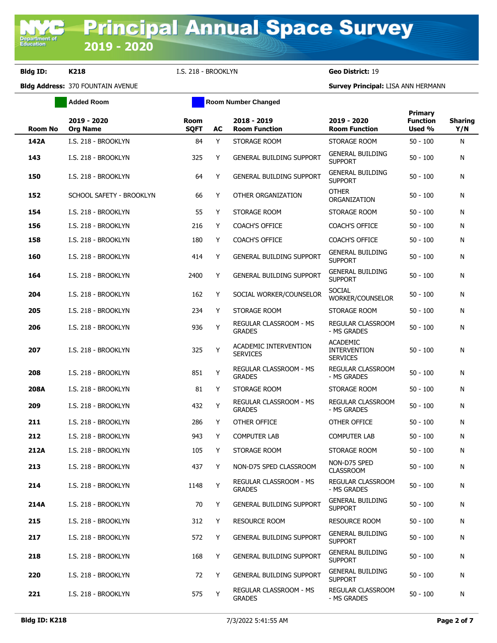|                | <b>Added Room</b>              | <b>Room Number Changed</b> |    |                                                |                                                           |                                             |                       |
|----------------|--------------------------------|----------------------------|----|------------------------------------------------|-----------------------------------------------------------|---------------------------------------------|-----------------------|
| <b>Room No</b> | 2019 - 2020<br><b>Org Name</b> | Room<br><b>SQFT</b>        | AC | 2018 - 2019<br><b>Room Function</b>            | 2019 - 2020<br><b>Room Function</b>                       | <b>Primary</b><br><b>Function</b><br>Used % | <b>Sharing</b><br>Y/N |
| 142A           | I.S. 218 - BROOKLYN            | 84                         | Y  | STORAGE ROOM                                   | STORAGE ROOM                                              | $50 - 100$                                  | N                     |
| 143            | I.S. 218 - BROOKLYN            | 325                        | Y  | <b>GENERAL BUILDING SUPPORT</b>                | <b>GENERAL BUILDING</b><br><b>SUPPORT</b>                 | $50 - 100$                                  | N                     |
| 150            | I.S. 218 - BROOKLYN            | 64                         | Y  | <b>GENERAL BUILDING SUPPORT</b>                | <b>GENERAL BUILDING</b><br><b>SUPPORT</b>                 | $50 - 100$                                  | N                     |
| 152            | SCHOOL SAFETY - BROOKLYN       | 66                         | Υ  | OTHER ORGANIZATION                             | <b>OTHER</b><br>ORGANIZATION                              | $50 - 100$                                  | N                     |
| 154            | I.S. 218 - BROOKLYN            | 55                         | Y  | STORAGE ROOM                                   | STORAGE ROOM                                              | $50 - 100$                                  | N                     |
| 156            | I.S. 218 - BROOKLYN            | 216                        | Y  | <b>COACH'S OFFICE</b>                          | <b>COACH'S OFFICE</b>                                     | $50 - 100$                                  | N                     |
| 158            | I.S. 218 - BROOKLYN            | 180                        | Y  | <b>COACH'S OFFICE</b>                          | <b>COACH'S OFFICE</b>                                     | $50 - 100$                                  | N                     |
| 160            | I.S. 218 - BROOKLYN            | 414                        | Υ  | GENERAL BUILDING SUPPORT                       | <b>GENERAL BUILDING</b><br><b>SUPPORT</b>                 | $50 - 100$                                  | N                     |
| 164            | I.S. 218 - BROOKLYN            | 2400                       | Y  | <b>GENERAL BUILDING SUPPORT</b>                | <b>GENERAL BUILDING</b><br><b>SUPPORT</b>                 | $50 - 100$                                  | N                     |
| 204            | I.S. 218 - BROOKLYN            | 162                        | Y  | SOCIAL WORKER/COUNSELOR                        | <b>SOCIAL</b><br>WORKER/COUNSELOR                         | $50 - 100$                                  | N                     |
| 205            | I.S. 218 - BROOKLYN            | 234                        | Y  | STORAGE ROOM                                   | STORAGE ROOM                                              | $50 - 100$                                  | N                     |
| 206            | I.S. 218 - BROOKLYN            | 936                        | Υ  | <b>REGULAR CLASSROOM - MS</b><br><b>GRADES</b> | REGULAR CLASSROOM<br>- MS GRADES                          | $50 - 100$                                  | N                     |
| 207            | I.S. 218 - BROOKLYN            | 325                        | Υ  | ACADEMIC INTERVENTION<br><b>SERVICES</b>       | <b>ACADEMIC</b><br><b>INTERVENTION</b><br><b>SERVICES</b> | $50 - 100$                                  | N                     |
| 208            | I.S. 218 - BROOKLYN            | 851                        | Υ  | REGULAR CLASSROOM - MS<br><b>GRADES</b>        | REGULAR CLASSROOM<br>- MS GRADES                          | $50 - 100$                                  | N                     |
| 208A           | I.S. 218 - BROOKLYN            | 81                         | Y  | STORAGE ROOM                                   | STORAGE ROOM                                              | $50 - 100$                                  | N                     |
| 209            | I.S. 218 - BROOKLYN            | 432                        | Υ  | REGULAR CLASSROOM - MS<br><b>GRADES</b>        | REGULAR CLASSROOM<br>- MS GRADES                          | $50 - 100$                                  | N                     |
| 211            | I.S. 218 - BROOKLYN            | 286                        | Y  | <b>OTHER OFFICE</b>                            | <b>OTHER OFFICE</b>                                       | $50 - 100$                                  | N                     |
| 212            | I.S. 218 - BROOKLYN            | 943                        | Y  | <b>COMPUTER LAB</b>                            | <b>COMPUTER LAB</b>                                       | $50 - 100$                                  | N                     |
| 212A           | I.S. 218 - BROOKLYN            | 105                        | Y  | STORAGE ROOM                                   | STORAGE ROOM                                              | $50 - 100$                                  | N                     |
| 213            | I.S. 218 - BROOKLYN            | 437                        | Y  | NON-D75 SPED CLASSROOM                         | NON-D75 SPED<br><b>CLASSROOM</b>                          | $50 - 100$                                  | N                     |
| 214            | I.S. 218 - BROOKLYN            | 1148                       | Y  | <b>REGULAR CLASSROOM - MS</b><br><b>GRADES</b> | REGULAR CLASSROOM<br>- MS GRADES                          | $50 - 100$                                  | N                     |
| 214A           | I.S. 218 - BROOKLYN            | 70                         | Y  | <b>GENERAL BUILDING SUPPORT</b>                | <b>GENERAL BUILDING</b><br><b>SUPPORT</b>                 | $50 - 100$                                  | N                     |
| 215            | I.S. 218 - BROOKLYN            | 312                        | Y  | <b>RESOURCE ROOM</b>                           | <b>RESOURCE ROOM</b>                                      | $50 - 100$                                  | N                     |
| 217            | I.S. 218 - BROOKLYN            | 572                        | Y  | <b>GENERAL BUILDING SUPPORT</b>                | <b>GENERAL BUILDING</b><br><b>SUPPORT</b>                 | $50 - 100$                                  | N                     |
| 218            | I.S. 218 - BROOKLYN            | 168                        | Y  | <b>GENERAL BUILDING SUPPORT</b>                | <b>GENERAL BUILDING</b><br><b>SUPPORT</b>                 | $50 - 100$                                  | N                     |
| 220            | I.S. 218 - BROOKLYN            | 72                         | Y  | GENERAL BUILDING SUPPORT                       | <b>GENERAL BUILDING</b><br><b>SUPPORT</b>                 | $50 - 100$                                  | N                     |
| 221            | I.S. 218 - BROOKLYN            | 575                        | Y  | REGULAR CLASSROOM - MS<br><b>GRADES</b>        | REGULAR CLASSROOM<br>- MS GRADES                          | $50 - 100$                                  | N                     |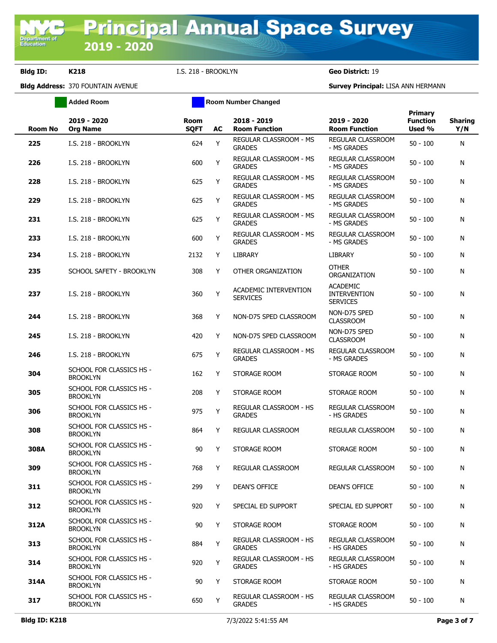**Added Room Room Room Number Changed** 

| <b>Room No</b> | 2019 - 2020<br><b>Org Name</b>              | <b>Room</b><br><b>SQFT</b> | AC | 2018 - 2019<br><b>Room Function</b>             | 2019 - 2020<br><b>Room Function</b>                       | Primary<br><b>Function</b><br>Used % | <b>Sharing</b><br>Y/N |
|----------------|---------------------------------------------|----------------------------|----|-------------------------------------------------|-----------------------------------------------------------|--------------------------------------|-----------------------|
| 225            | I.S. 218 - BROOKLYN                         | 624                        | Y  | REGULAR CLASSROOM - MS<br><b>GRADES</b>         | REGULAR CLASSROOM<br>- MS GRADES                          | $50 - 100$                           | N                     |
| 226            | I.S. 218 - BROOKLYN                         | 600                        | Y  | REGULAR CLASSROOM - MS<br><b>GRADES</b>         | REGULAR CLASSROOM<br>- MS GRADES                          | $50 - 100$                           | N                     |
| 228            | I.S. 218 - BROOKLYN                         | 625                        | Y  | REGULAR CLASSROOM - MS<br><b>GRADES</b>         | REGULAR CLASSROOM<br>- MS GRADES                          | $50 - 100$                           | N                     |
| 229            | I.S. 218 - BROOKLYN                         | 625                        | Y  | <b>REGULAR CLASSROOM - MS</b><br><b>GRADES</b>  | REGULAR CLASSROOM<br>- MS GRADES                          | $50 - 100$                           | N                     |
| 231            | I.S. 218 - BROOKLYN                         | 625                        | Y  | REGULAR CLASSROOM - MS<br><b>GRADES</b>         | <b>REGULAR CLASSROOM</b><br>- MS GRADES                   | $50 - 100$                           | N                     |
| 233            | I.S. 218 - BROOKLYN                         | 600                        | Y  | REGULAR CLASSROOM - MS<br><b>GRADES</b>         | REGULAR CLASSROOM<br>- MS GRADES                          | $50 - 100$                           | N                     |
| 234            | I.S. 218 - BROOKLYN                         | 2132                       | Y  | <b>LIBRARY</b>                                  | LIBRARY                                                   | $50 - 100$                           | N                     |
| 235            | SCHOOL SAFETY - BROOKLYN                    | 308                        | Y  | OTHER ORGANIZATION                              | <b>OTHER</b><br>ORGANIZATION                              | $50 - 100$                           | N                     |
| 237            | I.S. 218 - BROOKLYN                         | 360                        | Y  | <b>ACADEMIC INTERVENTION</b><br><b>SERVICES</b> | <b>ACADEMIC</b><br><b>INTERVENTION</b><br><b>SERVICES</b> | $50 - 100$                           | N                     |
| 244            | I.S. 218 - BROOKLYN                         | 368                        | Y  | NON-D75 SPED CLASSROOM                          | NON-D75 SPED<br><b>CLASSROOM</b>                          | $50 - 100$                           | N                     |
| 245            | I.S. 218 - BROOKLYN                         | 420                        | Y  | NON-D75 SPED CLASSROOM                          | NON-D75 SPED<br><b>CLASSROOM</b>                          | $50 - 100$                           | N                     |
| 246            | I.S. 218 - BROOKLYN                         | 675                        | Y  | REGULAR CLASSROOM - MS<br><b>GRADES</b>         | <b>REGULAR CLASSROOM</b><br>- MS GRADES                   | $50 - 100$                           | N                     |
| 304            | SCHOOL FOR CLASSICS HS -<br><b>BROOKLYN</b> | 162                        | Y  | STORAGE ROOM                                    | STORAGE ROOM                                              | $50 - 100$                           | N                     |
| 305            | SCHOOL FOR CLASSICS HS -<br><b>BROOKLYN</b> | 208                        | Y  | STORAGE ROOM                                    | STORAGE ROOM                                              | $50 - 100$                           | N                     |
| 306            | SCHOOL FOR CLASSICS HS -<br><b>BROOKLYN</b> | 975                        | Y  | REGULAR CLASSROOM - HS<br><b>GRADES</b>         | REGULAR CLASSROOM<br>- HS GRADES                          | $50 - 100$                           | N                     |
| 308            | SCHOOL FOR CLASSICS HS -<br><b>BROOKLYN</b> | 864                        | Y  | <b>REGULAR CLASSROOM</b>                        | REGULAR CLASSROOM                                         | $50 - 100$                           | N                     |
| 308A           | SCHOOL FOR CLASSICS HS -<br><b>BROOKLYN</b> | 90                         | Y  | STORAGE ROOM                                    | STORAGE ROOM                                              | $50 - 100$                           | N                     |
| 309            | SCHOOL FOR CLASSICS HS -<br><b>BROOKLYN</b> | 768                        | Y  | REGULAR CLASSROOM                               | <b>REGULAR CLASSROOM</b>                                  | $50 - 100$                           | N                     |
| 311            | SCHOOL FOR CLASSICS HS -<br><b>BROOKLYN</b> | 299                        | Y  | <b>DEAN'S OFFICE</b>                            | <b>DEAN'S OFFICE</b>                                      | $50 - 100$                           | N                     |
| 312            | SCHOOL FOR CLASSICS HS -<br><b>BROOKLYN</b> | 920                        | Y  | SPECIAL ED SUPPORT                              | SPECIAL ED SUPPORT                                        | $50 - 100$                           | N                     |
| 312A           | SCHOOL FOR CLASSICS HS -<br><b>BROOKLYN</b> | 90                         | Y  | STORAGE ROOM                                    | STORAGE ROOM                                              | $50 - 100$                           | N                     |
| 313            | SCHOOL FOR CLASSICS HS -<br><b>BROOKLYN</b> | 884                        | Y  | REGULAR CLASSROOM - HS<br><b>GRADES</b>         | REGULAR CLASSROOM<br>- HS GRADES                          | $50 - 100$                           | N                     |
| 314            | SCHOOL FOR CLASSICS HS -<br><b>BROOKLYN</b> | 920                        | Y  | <b>REGULAR CLASSROOM - HS</b><br><b>GRADES</b>  | REGULAR CLASSROOM<br>- HS GRADES                          | $50 - 100$                           | N                     |
| 314A           | SCHOOL FOR CLASSICS HS -<br><b>BROOKLYN</b> | 90                         | Y  | STORAGE ROOM                                    | STORAGE ROOM                                              | $50 - 100$                           | N                     |
| 317            | SCHOOL FOR CLASSICS HS -<br><b>BROOKLYN</b> | 650                        | Y  | REGULAR CLASSROOM - HS<br><b>GRADES</b>         | REGULAR CLASSROOM<br>- HS GRADES                          | $50 - 100$                           | N                     |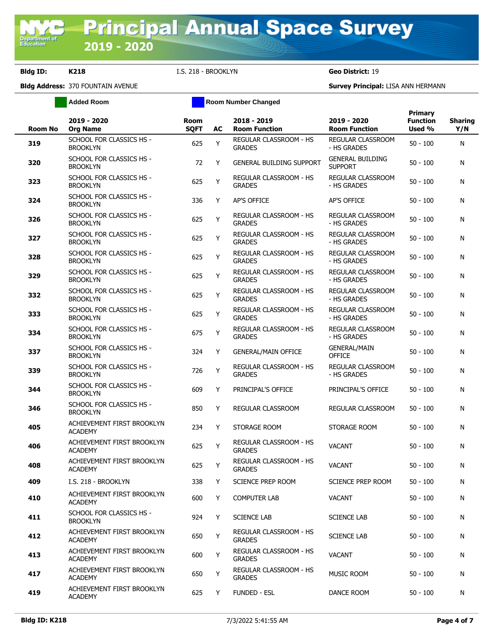**Added Room Room Room Number Changed** 

| <b>Room No</b> | 2019 - 2020<br><b>Org Name</b>               | <b>Room</b><br><b>SQFT</b> | AC | 2018 - 2019<br><b>Room Function</b>            | 2019 - 2020<br><b>Room Function</b>       | Primary<br><b>Function</b><br>Used % | <b>Sharing</b><br>Y/N |
|----------------|----------------------------------------------|----------------------------|----|------------------------------------------------|-------------------------------------------|--------------------------------------|-----------------------|
| 319            | SCHOOL FOR CLASSICS HS -<br><b>BROOKLYN</b>  | 625                        | Y  | <b>REGULAR CLASSROOM - HS</b><br><b>GRADES</b> | <b>REGULAR CLASSROOM</b><br>- HS GRADES   | $50 - 100$                           | N                     |
| 320            | SCHOOL FOR CLASSICS HS -<br><b>BROOKLYN</b>  | 72                         | Y  | <b>GENERAL BUILDING SUPPORT</b>                | <b>GENERAL BUILDING</b><br><b>SUPPORT</b> | 50 - 100                             | N                     |
| 323            | SCHOOL FOR CLASSICS HS -<br><b>BROOKLYN</b>  | 625                        | Y  | REGULAR CLASSROOM - HS<br><b>GRADES</b>        | REGULAR CLASSROOM<br>- HS GRADES          | 50 - 100                             | N                     |
| 324            | SCHOOL FOR CLASSICS HS -<br><b>BROOKLYN</b>  | 336                        | Y  | AP'S OFFICE                                    | <b>AP'S OFFICE</b>                        | $50 - 100$                           | N                     |
| 326            | SCHOOL FOR CLASSICS HS -<br><b>BROOKLYN</b>  | 625                        | Y  | REGULAR CLASSROOM - HS<br><b>GRADES</b>        | REGULAR CLASSROOM<br>- HS GRADES          | 50 - 100                             | N                     |
| 327            | SCHOOL FOR CLASSICS HS -<br><b>BROOKLYN</b>  | 625                        | Y  | REGULAR CLASSROOM - HS<br><b>GRADES</b>        | <b>REGULAR CLASSROOM</b><br>- HS GRADES   | $50 - 100$                           | N                     |
| 328            | SCHOOL FOR CLASSICS HS -<br><b>BROOKLYN</b>  | 625                        | Y  | REGULAR CLASSROOM - HS<br><b>GRADES</b>        | REGULAR CLASSROOM<br>- HS GRADES          | $50 - 100$                           | N                     |
| 329            | SCHOOL FOR CLASSICS HS -<br><b>BROOKLYN</b>  | 625                        | Y  | REGULAR CLASSROOM - HS<br><b>GRADES</b>        | <b>REGULAR CLASSROOM</b><br>- HS GRADES   | $50 - 100$                           | N                     |
| 332            | SCHOOL FOR CLASSICS HS -<br><b>BROOKLYN</b>  | 625                        | Y  | REGULAR CLASSROOM - HS<br><b>GRADES</b>        | REGULAR CLASSROOM<br>- HS GRADES          | $50 - 100$                           | N                     |
| 333            | SCHOOL FOR CLASSICS HS -<br><b>BROOKLYN</b>  | 625                        | Y  | REGULAR CLASSROOM - HS<br><b>GRADES</b>        | REGULAR CLASSROOM<br>- HS GRADES          | $50 - 100$                           | N                     |
| 334            | SCHOOL FOR CLASSICS HS -<br><b>BROOKLYN</b>  | 675                        | Y  | REGULAR CLASSROOM - HS<br><b>GRADES</b>        | REGULAR CLASSROOM<br>- HS GRADES          | 50 - 100                             | N                     |
| 337            | SCHOOL FOR CLASSICS HS -<br><b>BROOKLYN</b>  | 324                        | Y  | <b>GENERAL/MAIN OFFICE</b>                     | <b>GENERAL/MAIN</b><br><b>OFFICE</b>      | $50 - 100$                           | N                     |
| 339            | SCHOOL FOR CLASSICS HS -<br><b>BROOKLYN</b>  | 726                        | Y  | REGULAR CLASSROOM - HS<br><b>GRADES</b>        | REGULAR CLASSROOM<br>- HS GRADES          | $50 - 100$                           | N                     |
| 344            | SCHOOL FOR CLASSICS HS -<br><b>BROOKLYN</b>  | 609                        | Y  | PRINCIPAL'S OFFICE                             | PRINCIPAL'S OFFICE                        | 50 - 100                             | N                     |
| 346            | SCHOOL FOR CLASSICS HS -<br><b>BROOKLYN</b>  | 850                        | Y  | REGULAR CLASSROOM                              | REGULAR CLASSROOM                         | $50 - 100$                           | N                     |
| 405            | ACHIEVEMENT FIRST BROOKLYN<br><b>ACADEMY</b> | 234                        | Y  | STORAGE ROOM                                   | STORAGE ROOM                              | 50 - 100                             | N                     |
| 406            | ACHIEVEMENT FIRST BROOKLYN<br><b>ACADEMY</b> | 625                        | Y  | REGULAR CLASSROOM - HS<br><b>GRADES</b>        | <b>VACANT</b>                             | 50 - 100                             | N                     |
| 408            | ACHIEVEMENT FIRST BROOKLYN<br><b>ACADEMY</b> | 625                        | Y  | REGULAR CLASSROOM - HS<br><b>GRADES</b>        | <b>VACANT</b>                             | $50 - 100$                           | N                     |
| 409            | I.S. 218 - BROOKLYN                          | 338                        | Y  | SCIENCE PREP ROOM                              | SCIENCE PREP ROOM                         | $50 - 100$                           | N                     |
| 410            | ACHIEVEMENT FIRST BROOKLYN<br>ACADEMY        | 600                        | Y  | <b>COMPUTER LAB</b>                            | <b>VACANT</b>                             | $50 - 100$                           | N                     |
| 411            | SCHOOL FOR CLASSICS HS -<br><b>BROOKLYN</b>  | 924                        | Y  | <b>SCIENCE LAB</b>                             | <b>SCIENCE LAB</b>                        | $50 - 100$                           | N                     |
| 412            | ACHIEVEMENT FIRST BROOKLYN<br><b>ACADEMY</b> | 650                        | Y  | <b>REGULAR CLASSROOM - HS</b><br><b>GRADES</b> | <b>SCIENCE LAB</b>                        | $50 - 100$                           | N                     |
| 413            | ACHIEVEMENT FIRST BROOKLYN<br><b>ACADEMY</b> | 600                        | Y  | REGULAR CLASSROOM - HS<br><b>GRADES</b>        | <b>VACANT</b>                             | $50 - 100$                           | N                     |
| 417            | ACHIEVEMENT FIRST BROOKLYN<br><b>ACADEMY</b> | 650                        | Y  | REGULAR CLASSROOM - HS<br><b>GRADES</b>        | <b>MUSIC ROOM</b>                         | 50 - 100                             | N                     |
| 419            | ACHIEVEMENT FIRST BROOKLYN<br><b>ACADEMY</b> | 625                        | Y  | <b>FUNDED - ESL</b>                            | DANCE ROOM                                | 50 - 100                             | N                     |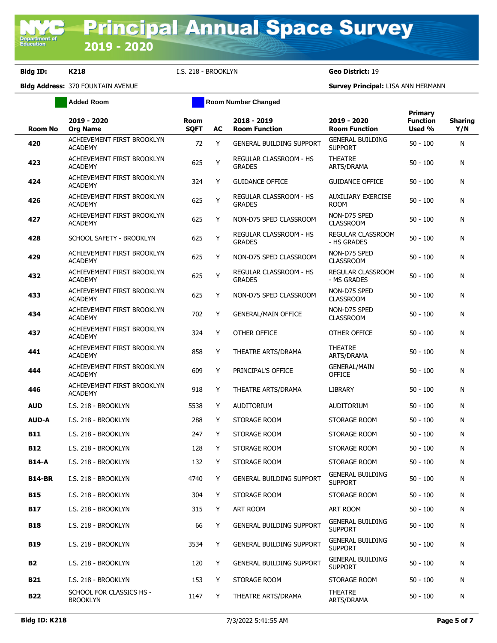**Added Room Room Room Number Changed** 

| <b>Room No</b> | 2019 - 2020<br><b>Org Name</b>               | Room<br><b>SQFT</b> | AC | 2018 - 2019<br><b>Room Function</b>     | 2019 - 2020<br><b>Room Function</b>       | <b>Primary</b><br><b>Function</b><br>Used % | <b>Sharing</b><br>Y/N |
|----------------|----------------------------------------------|---------------------|----|-----------------------------------------|-------------------------------------------|---------------------------------------------|-----------------------|
| 420            | ACHIEVEMENT FIRST BROOKLYN<br><b>ACADEMY</b> | 72                  | Y  | <b>GENERAL BUILDING SUPPORT</b>         | <b>GENERAL BUILDING</b><br><b>SUPPORT</b> | $50 - 100$                                  | N                     |
| 423            | ACHIEVEMENT FIRST BROOKLYN<br><b>ACADEMY</b> | 625                 | Y  | REGULAR CLASSROOM - HS<br><b>GRADES</b> | <b>THEATRE</b><br>ARTS/DRAMA              | $50 - 100$                                  | N                     |
| 424            | ACHIEVEMENT FIRST BROOKLYN<br><b>ACADEMY</b> | 324                 | Y  | <b>GUIDANCE OFFICE</b>                  | <b>GUIDANCE OFFICE</b>                    | $50 - 100$                                  | N                     |
| 426            | ACHIEVEMENT FIRST BROOKLYN<br><b>ACADEMY</b> | 625                 | Υ  | REGULAR CLASSROOM - HS<br><b>GRADES</b> | <b>AUXILIARY EXERCISE</b><br><b>ROOM</b>  | $50 - 100$                                  | N                     |
| 427            | ACHIEVEMENT FIRST BROOKLYN<br><b>ACADEMY</b> | 625                 | Y  | NON-D75 SPED CLASSROOM                  | NON-D75 SPED<br><b>CLASSROOM</b>          | $50 - 100$                                  | N                     |
| 428            | SCHOOL SAFETY - BROOKLYN                     | 625                 | Υ  | REGULAR CLASSROOM - HS<br><b>GRADES</b> | REGULAR CLASSROOM<br>- HS GRADES          | $50 - 100$                                  | N                     |
| 429            | ACHIEVEMENT FIRST BROOKLYN<br><b>ACADEMY</b> | 625                 | Y  | NON-D75 SPED CLASSROOM                  | NON-D75 SPED<br><b>CLASSROOM</b>          | $50 - 100$                                  | N                     |
| 432            | ACHIEVEMENT FIRST BROOKLYN<br><b>ACADEMY</b> | 625                 | Υ  | REGULAR CLASSROOM - HS<br><b>GRADES</b> | REGULAR CLASSROOM<br>- MS GRADES          | $50 - 100$                                  | N                     |
| 433            | ACHIEVEMENT FIRST BROOKLYN<br><b>ACADEMY</b> | 625                 | Y  | NON-D75 SPED CLASSROOM                  | NON-D75 SPED<br><b>CLASSROOM</b>          | $50 - 100$                                  | N                     |
| 434            | ACHIEVEMENT FIRST BROOKLYN<br><b>ACADEMY</b> | 702                 | Υ  | <b>GENERAL/MAIN OFFICE</b>              | NON-D75 SPED<br><b>CLASSROOM</b>          | $50 - 100$                                  | N                     |
| 437            | ACHIEVEMENT FIRST BROOKLYN<br><b>ACADEMY</b> | 324                 | Y  | OTHER OFFICE                            | OTHER OFFICE                              | $50 - 100$                                  | N                     |
| 441            | ACHIEVEMENT FIRST BROOKLYN<br><b>ACADEMY</b> | 858                 | Y  | THEATRE ARTS/DRAMA                      | <b>THEATRE</b><br>ARTS/DRAMA              | $50 - 100$                                  | N                     |
| 444            | ACHIEVEMENT FIRST BROOKLYN<br><b>ACADEMY</b> | 609                 | Y  | PRINCIPAL'S OFFICE                      | <b>GENERAL/MAIN</b><br><b>OFFICE</b>      | $50 - 100$                                  | N                     |
| 446            | ACHIEVEMENT FIRST BROOKLYN<br><b>ACADEMY</b> | 918                 | Y  | THEATRE ARTS/DRAMA                      | LIBRARY                                   | $50 - 100$                                  | N                     |
| <b>AUD</b>     | I.S. 218 - BROOKLYN                          | 5538                | Y  | <b>AUDITORIUM</b>                       | <b>AUDITORIUM</b>                         | $50 - 100$                                  | N                     |
| <b>AUD-A</b>   | I.S. 218 - BROOKLYN                          | 288                 | Y  | STORAGE ROOM                            | STORAGE ROOM                              | $50 - 100$                                  | N                     |
| <b>B11</b>     | I.S. 218 - BROOKLYN                          | 247                 | Y  | STORAGE ROOM                            | STORAGE ROOM                              | $50 - 100$                                  | N                     |
| <b>B12</b>     | I.S. 218 - BROOKLYN                          | 128                 | Y  | STORAGE ROOM                            | STORAGE ROOM                              | $50 - 100$                                  | N                     |
| <b>B14-A</b>   | I.S. 218 - BROOKLYN                          | 132                 | Y  | STORAGE ROOM                            | STORAGE ROOM                              | $50 - 100$                                  | N                     |
| <b>B14-BR</b>  | I.S. 218 - BROOKLYN                          | 4740                | Y  | <b>GENERAL BUILDING SUPPORT</b>         | <b>GENERAL BUILDING</b><br><b>SUPPORT</b> | $50 - 100$                                  | N                     |
| <b>B15</b>     | I.S. 218 - BROOKLYN                          | 304                 | Y  | STORAGE ROOM                            | STORAGE ROOM                              | $50 - 100$                                  | N                     |
| <b>B17</b>     | I.S. 218 - BROOKLYN                          | 315                 | Y  | ART ROOM                                | ART ROOM                                  | $50 - 100$                                  | N                     |
| <b>B18</b>     | I.S. 218 - BROOKLYN                          | 66                  | Y  | <b>GENERAL BUILDING SUPPORT</b>         | <b>GENERAL BUILDING</b><br><b>SUPPORT</b> | $50 - 100$                                  | N                     |
| <b>B19</b>     | I.S. 218 - BROOKLYN                          | 3534                | Υ  | <b>GENERAL BUILDING SUPPORT</b>         | <b>GENERAL BUILDING</b><br><b>SUPPORT</b> | $50 - 100$                                  | N                     |
| <b>B2</b>      | I.S. 218 - BROOKLYN                          | 120                 | Y  | <b>GENERAL BUILDING SUPPORT</b>         | <b>GENERAL BUILDING</b><br><b>SUPPORT</b> | $50 - 100$                                  | N                     |
| B21            | I.S. 218 - BROOKLYN                          | 153                 | Y  | STORAGE ROOM                            | STORAGE ROOM                              | $50 - 100$                                  | N                     |
| <b>B22</b>     | SCHOOL FOR CLASSICS HS -<br><b>BROOKLYN</b>  | 1147                | Y  | THEATRE ARTS/DRAMA                      | <b>THEATRE</b><br>ARTS/DRAMA              | $50 - 100$                                  | N                     |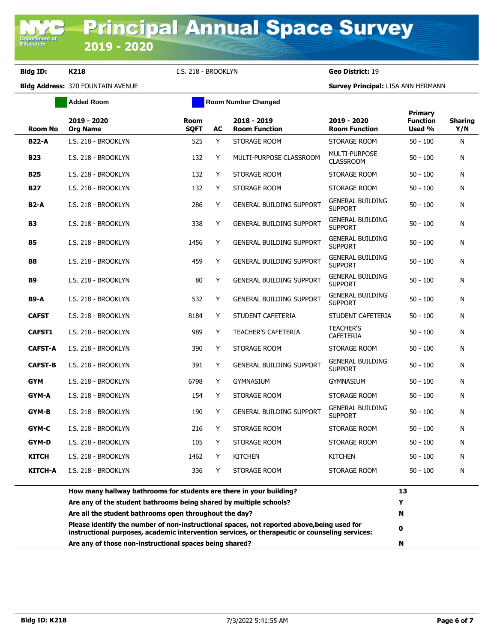**Bldg Address:** 370 FOUNTAIN AVENUE **Survey Principal:** LISA ANN HERMANN

|                | <b>Added Room</b>                                                                                                                         |                            |    |                                     |                                           |                                             |                       |
|----------------|-------------------------------------------------------------------------------------------------------------------------------------------|----------------------------|----|-------------------------------------|-------------------------------------------|---------------------------------------------|-----------------------|
| <b>Room No</b> | 2019 - 2020<br><b>Org Name</b>                                                                                                            | <b>Room</b><br><b>SQFT</b> | AC | 2018 - 2019<br><b>Room Function</b> | 2019 - 2020<br><b>Room Function</b>       | <b>Primary</b><br><b>Function</b><br>Used % | <b>Sharing</b><br>Y/N |
| <b>B22-A</b>   | I.S. 218 - BROOKLYN                                                                                                                       | 525                        | Y  | STORAGE ROOM                        | STORAGE ROOM                              | $50 - 100$                                  | N                     |
| <b>B23</b>     | I.S. 218 - BROOKLYN                                                                                                                       | 132                        | Y  | MULTI-PURPOSE CLASSROOM             | MULTI-PURPOSE<br><b>CLASSROOM</b>         | $50 - 100$                                  | N                     |
| <b>B25</b>     | I.S. 218 - BROOKLYN                                                                                                                       | 132                        | Y  | STORAGE ROOM                        | STORAGE ROOM                              | $50 - 100$                                  | N                     |
| <b>B27</b>     | I.S. 218 - BROOKLYN                                                                                                                       | 132                        | Y  | STORAGE ROOM                        | STORAGE ROOM                              | $50 - 100$                                  | N                     |
| <b>B2-A</b>    | I.S. 218 - BROOKLYN                                                                                                                       | 286                        | Y  | <b>GENERAL BUILDING SUPPORT</b>     | <b>GENERAL BUILDING</b><br><b>SUPPORT</b> | $50 - 100$                                  | N                     |
| <b>B3</b>      | I.S. 218 - BROOKLYN                                                                                                                       | 338                        | Y  | <b>GENERAL BUILDING SUPPORT</b>     | <b>GENERAL BUILDING</b><br><b>SUPPORT</b> | $50 - 100$                                  | N                     |
| <b>B5</b>      | I.S. 218 - BROOKLYN                                                                                                                       | 1456                       | Y  | <b>GENERAL BUILDING SUPPORT</b>     | <b>GENERAL BUILDING</b><br><b>SUPPORT</b> | $50 - 100$                                  | N                     |
| <b>B8</b>      | I.S. 218 - BROOKLYN                                                                                                                       | 459                        | Y  | <b>GENERAL BUILDING SUPPORT</b>     | <b>GENERAL BUILDING</b><br><b>SUPPORT</b> | $50 - 100$                                  | N                     |
| <b>B9</b>      | I.S. 218 - BROOKLYN                                                                                                                       | 80                         | Y  | <b>GENERAL BUILDING SUPPORT</b>     | <b>GENERAL BUILDING</b><br><b>SUPPORT</b> | $50 - 100$                                  | N                     |
| <b>B9-A</b>    | I.S. 218 - BROOKLYN                                                                                                                       | 532                        | Y  | <b>GENERAL BUILDING SUPPORT</b>     | <b>GENERAL BUILDING</b><br><b>SUPPORT</b> | $50 - 100$                                  | N                     |
| <b>CAFST</b>   | I.S. 218 - BROOKLYN                                                                                                                       | 8184                       | Y  | STUDENT CAFETERIA                   | STUDENT CAFETERIA                         | $50 - 100$                                  | N                     |
| <b>CAFST1</b>  | I.S. 218 - BROOKLYN                                                                                                                       | 989                        | Y  | <b>TEACHER'S CAFETERIA</b>          | <b>TEACHER'S</b><br><b>CAFETERIA</b>      | $50 - 100$                                  | N                     |
| <b>CAFST-A</b> | I.S. 218 - BROOKLYN                                                                                                                       | 390                        | Y  | STORAGE ROOM                        | STORAGE ROOM                              | $50 - 100$                                  | N                     |
| <b>CAFST-B</b> | I.S. 218 - BROOKLYN                                                                                                                       | 391                        | Y  | <b>GENERAL BUILDING SUPPORT</b>     | <b>GENERAL BUILDING</b><br><b>SUPPORT</b> | $50 - 100$                                  | N                     |
| <b>GYM</b>     | I.S. 218 - BROOKLYN                                                                                                                       | 6798                       | Y  | <b>GYMNASIUM</b>                    | <b>GYMNASIUM</b>                          | $50 - 100$                                  | N                     |
| GYM-A          | I.S. 218 - BROOKLYN                                                                                                                       | 154                        | Y  | STORAGE ROOM                        | STORAGE ROOM                              | $50 - 100$                                  | N                     |
| GYM-B          | I.S. 218 - BROOKLYN                                                                                                                       | 190                        | Y  | <b>GENERAL BUILDING SUPPORT</b>     | <b>GENERAL BUILDING</b><br><b>SUPPORT</b> | $50 - 100$                                  | N                     |
| GYM-C          | I.S. 218 - BROOKLYN                                                                                                                       | 216                        | Y  | STORAGE ROOM                        | STORAGE ROOM                              | $50 - 100$                                  | N                     |
| GYM-D          | I.S. 218 - BROOKLYN                                                                                                                       | 105                        | Y  | STORAGE ROOM                        | STORAGE ROOM                              | $50 - 100$                                  | N                     |
| <b>KITCH</b>   | I.S. 218 - BROOKLYN                                                                                                                       | 1462                       | Y  | <b>KITCHEN</b>                      | <b>KITCHEN</b>                            | $50 - 100$                                  | N                     |
| <b>KITCH-A</b> | I.S. 218 - BROOKLYN                                                                                                                       | 336                        | Y  | STORAGE ROOM                        | STORAGE ROOM                              | $50 - 100$                                  | N                     |
|                | How many hallway bathrooms for students are there in your building?<br>Are any of the student bathrooms being shared by multiple schools? |                            |    |                                     |                                           | 13<br>Y                                     |                       |
|                | Are all the student bathrooms open throughout the day?                                                                                    |                            |    | N                                   |                                           |                                             |                       |

**Please identify the number of non-instructional spaces, not reported above,being used for instructional purposes, academic intervention services, or therapeutic or counseling services: <sup>0</sup> Are any of those non-instructional spaces being shared? N**